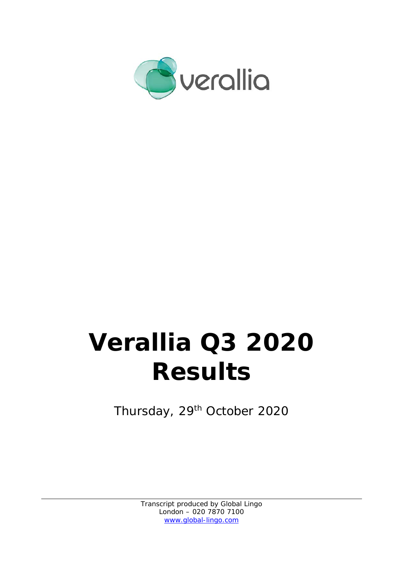

# **Verallia Q3 2020 Results**

Thursday, 29<sup>th</sup> October 2020

Transcript produced by Global Lingo London – 020 7870 7100 www.global-lingo.com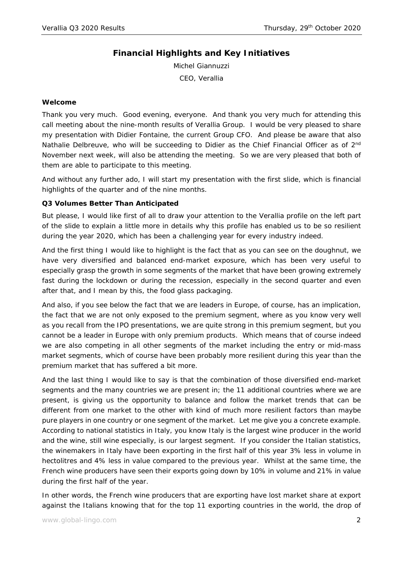# **Financial Highlights and Key Initiatives**

Michel Giannuzzi CEO, Verallia

#### **Welcome**

Thank you very much. Good evening, everyone. And thank you very much for attending this call meeting about the nine-month results of Verallia Group. I would be very pleased to share my presentation with Didier Fontaine, the current Group CFO. And please be aware that also Nathalie Delbreuve, who will be succeeding to Didier as the Chief Financial Officer as of 2<sup>nd</sup> November next week, will also be attending the meeting. So we are very pleased that both of them are able to participate to this meeting.

And without any further ado, I will start my presentation with the first slide, which is financial highlights of the quarter and of the nine months.

#### **Q3 Volumes Better Than Anticipated**

But please, I would like first of all to draw your attention to the Verallia profile on the left part of the slide to explain a little more in details why this profile has enabled us to be so resilient during the year 2020, which has been a challenging year for every industry indeed.

And the first thing I would like to highlight is the fact that as you can see on the doughnut, we have very diversified and balanced end-market exposure, which has been very useful to especially grasp the growth in some segments of the market that have been growing extremely fast during the lockdown or during the recession, especially in the second quarter and even after that, and I mean by this, the food glass packaging.

And also, if you see below the fact that we are leaders in Europe, of course, has an implication, the fact that we are not only exposed to the premium segment, where as you know very well as you recall from the IPO presentations, we are quite strong in this premium segment, but you cannot be a leader in Europe with only premium products. Which means that of course indeed we are also competing in all other segments of the market including the entry or mid-mass market segments, which of course have been probably more resilient during this year than the premium market that has suffered a bit more.

And the last thing I would like to say is that the combination of those diversified end-market segments and the many countries we are present in; the 11 additional countries where we are present, is giving us the opportunity to balance and follow the market trends that can be different from one market to the other with kind of much more resilient factors than maybe pure players in one country or one segment of the market. Let me give you a concrete example. According to national statistics in Italy, you know Italy is the largest wine producer in the world and the wine, still wine especially, is our largest segment. If you consider the Italian statistics, the winemakers in Italy have been exporting in the first half of this year 3% less in volume in hectolitres and 4% less in value compared to the previous year. Whilst at the same time, the French wine producers have seen their exports going down by 10% in volume and 21% in value during the first half of the year.

In other words, the French wine producers that are exporting have lost market share at export against the Italians knowing that for the top 11 exporting countries in the world, the drop of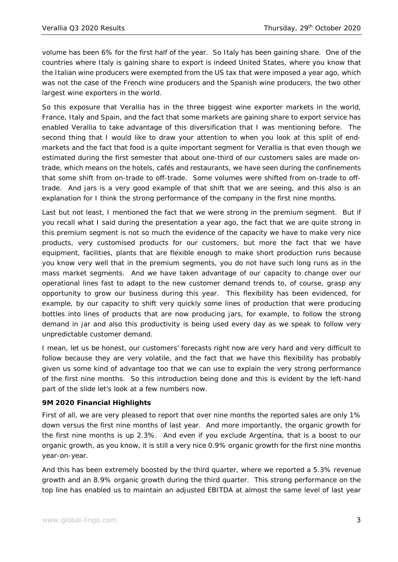volume has been 6% for the first half of the year. So Italy has been gaining share. One of the countries where Italy is gaining share to export is indeed United States, where you know that the Italian wine producers were exempted from the US tax that were imposed a year ago, which was not the case of the French wine producers and the Spanish wine producers, the two other largest wine exporters in the world.

So this exposure that Verallia has in the three biggest wine exporter markets in the world, France, Italy and Spain, and the fact that some markets are gaining share to export service has enabled Verallia to take advantage of this diversification that I was mentioning before. The second thing that I would like to draw your attention to when you look at this split of endmarkets and the fact that food is a quite important segment for Verallia is that even though we estimated during the first semester that about one-third of our customers sales are made ontrade, which means on the hotels, cafés and restaurants, we have seen during the confinements that some shift from on-trade to off-trade. Some volumes were shifted from on-trade to offtrade. And jars is a very good example of that shift that we are seeing, and this also is an explanation for I think the strong performance of the company in the first nine months.

Last but not least, I mentioned the fact that we were strong in the premium segment. But if you recall what I said during the presentation a year ago, the fact that we are quite strong in this premium segment is not so much the evidence of the capacity we have to make very nice products, very customised products for our customers, but more the fact that we have equipment, facilities, plants that are flexible enough to make short production runs because you know very well that in the premium segments, you do not have such long runs as in the mass market segments. And we have taken advantage of our capacity to change over our operational lines fast to adapt to the new customer demand trends to, of course, grasp any opportunity to grow our business during this year. This flexibility has been evidenced, for example, by our capacity to shift very quickly some lines of production that were producing bottles into lines of products that are now producing jars, for example, to follow the strong demand in jar and also this productivity is being used every day as we speak to follow very unpredictable customer demand.

I mean, let us be honest, our customers' forecasts right now are very hard and very difficult to follow because they are very volatile, and the fact that we have this flexibility has probably given us some kind of advantage too that we can use to explain the very strong performance of the first nine months. So this introduction being done and this is evident by the left-hand part of the slide let's look at a few numbers now.

## **9M 2020 Financial Highlights**

First of all, we are very pleased to report that over nine months the reported sales are only 1% down versus the first nine months of last year. And more importantly, the organic growth for the first nine months is up 2.3%. And even if you exclude Argentina, that is a boost to our organic growth, as you know, it is still a very nice 0.9% organic growth for the first nine months year-on-year.

And this has been extremely boosted by the third quarter, where we reported a 5.3% revenue growth and an 8.9% organic growth during the third quarter. This strong performance on the top line has enabled us to maintain an adjusted EBITDA at almost the same level of last year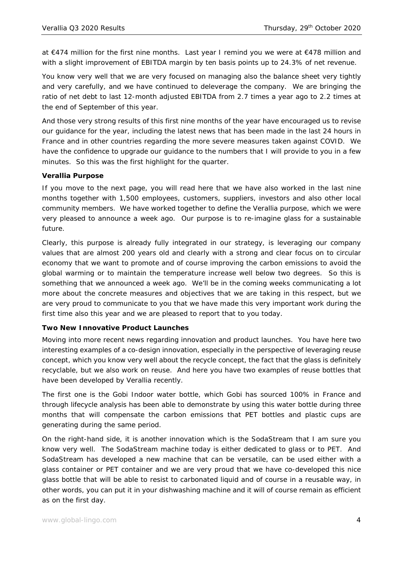at €474 million for the first nine months. Last year I remind you we were at €478 million and with a slight improvement of EBITDA margin by ten basis points up to 24.3% of net revenue.

You know very well that we are very focused on managing also the balance sheet very tightly and very carefully, and we have continued to deleverage the company. We are bringing the ratio of net debt to last 12-month adjusted EBITDA from 2.7 times a year ago to 2.2 times at the end of September of this year.

And those very strong results of this first nine months of the year have encouraged us to revise our guidance for the year, including the latest news that has been made in the last 24 hours in France and in other countries regarding the more severe measures taken against COVID. We have the confidence to upgrade our guidance to the numbers that I will provide to you in a few minutes. So this was the first highlight for the quarter.

#### **Verallia Purpose**

If you move to the next page, you will read here that we have also worked in the last nine months together with 1,500 employees, customers, suppliers, investors and also other local community members. We have worked together to define the Verallia purpose, which we were very pleased to announce a week ago. Our purpose is to re-imagine glass for a sustainable future.

Clearly, this purpose is already fully integrated in our strategy, is leveraging our company values that are almost 200 years old and clearly with a strong and clear focus on to circular economy that we want to promote and of course improving the carbon emissions to avoid the global warming or to maintain the temperature increase well below two degrees. So this is something that we announced a week ago. We'll be in the coming weeks communicating a lot more about the concrete measures and objectives that we are taking in this respect, but we are very proud to communicate to you that we have made this very important work during the first time also this year and we are pleased to report that to you today.

## **Two New Innovative Product Launches**

Moving into more recent news regarding innovation and product launches. You have here two interesting examples of a co-design innovation, especially in the perspective of leveraging reuse concept, which you know very well about the recycle concept, the fact that the glass is definitely recyclable, but we also work on reuse. And here you have two examples of reuse bottles that have been developed by Verallia recently.

The first one is the Gobi Indoor water bottle, which Gobi has sourced 100% in France and through lifecycle analysis has been able to demonstrate by using this water bottle during three months that will compensate the carbon emissions that PET bottles and plastic cups are generating during the same period.

On the right-hand side, it is another innovation which is the SodaStream that I am sure you know very well. The SodaStream machine today is either dedicated to glass or to PET. And SodaStream has developed a new machine that can be versatile, can be used either with a glass container or PET container and we are very proud that we have co-developed this nice glass bottle that will be able to resist to carbonated liquid and of course in a reusable way, in other words, you can put it in your dishwashing machine and it will of course remain as efficient as on the first day.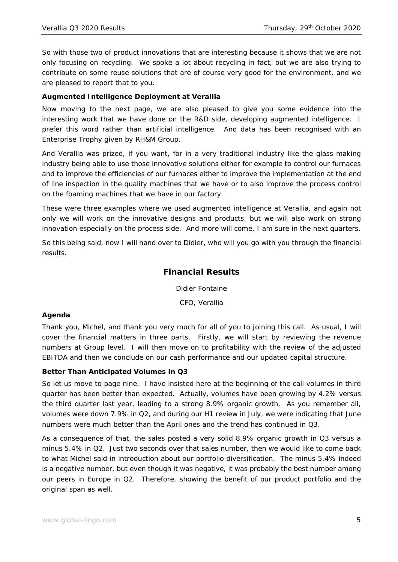So with those two of product innovations that are interesting because it shows that we are not only focusing on recycling. We spoke a lot about recycling in fact, but we are also trying to contribute on some reuse solutions that are of course very good for the environment, and we are pleased to report that to you.

## **Augmented Intelligence Deployment at Verallia**

Now moving to the next page, we are also pleased to give you some evidence into the interesting work that we have done on the R&D side, developing augmented intelligence. I prefer this word rather than artificial intelligence. And data has been recognised with an Enterprise Trophy given by RH&M Group.

And Verallia was prized, if you want, for in a very traditional industry like the glass-making industry being able to use those innovative solutions either for example to control our furnaces and to improve the efficiencies of our furnaces either to improve the implementation at the end of line inspection in the quality machines that we have or to also improve the process control on the foaming machines that we have in our factory.

These were three examples where we used augmented intelligence at Verallia, and again not only we will work on the innovative designs and products, but we will also work on strong innovation especially on the process side. And more will come, I am sure in the next quarters.

So this being said, now I will hand over to Didier, who will you go with you through the financial results.

## **Financial Results**

Didier Fontaine

CFO, Verallia

## **Agenda**

Thank you, Michel, and thank you very much for all of you to joining this call. As usual, I will cover the financial matters in three parts. Firstly, we will start by reviewing the revenue numbers at Group level. I will then move on to profitability with the review of the adjusted EBITDA and then we conclude on our cash performance and our updated capital structure.

## **Better Than Anticipated Volumes in Q3**

So let us move to page nine. I have insisted here at the beginning of the call volumes in third quarter has been better than expected. Actually, volumes have been growing by 4.2% versus the third quarter last year, leading to a strong 8.9% organic growth. As you remember all, volumes were down 7.9% in Q2, and during our H1 review in July, we were indicating that June numbers were much better than the April ones and the trend has continued in Q3.

As a consequence of that, the sales posted a very solid 8.9% organic growth in Q3 versus a minus 5.4% in Q2. Just two seconds over that sales number, then we would like to come back to what Michel said in introduction about our portfolio diversification. The minus 5.4% indeed is a negative number, but even though it was negative, it was probably the best number among our peers in Europe in Q2. Therefore, showing the benefit of our product portfolio and the original span as well.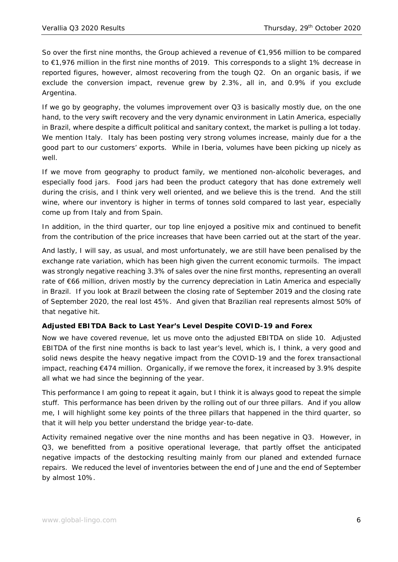So over the first nine months, the Group achieved a revenue of €1,956 million to be compared to €1,976 million in the first nine months of 2019. This corresponds to a slight 1% decrease in reported figures, however, almost recovering from the tough Q2. On an organic basis, if we exclude the conversion impact, revenue grew by 2.3%, all in, and 0.9% if you exclude Argentina.

If we go by geography, the volumes improvement over Q3 is basically mostly due, on the one hand, to the very swift recovery and the very dynamic environment in Latin America, especially in Brazil, where despite a difficult political and sanitary context, the market is pulling a lot today. We mention Italy. Italy has been posting very strong volumes increase, mainly due for a the good part to our customers' exports. While in Iberia, volumes have been picking up nicely as well.

If we move from geography to product family, we mentioned non-alcoholic beverages, and especially food jars. Food jars had been the product category that has done extremely well during the crisis, and I think very well oriented, and we believe this is the trend. And the still wine, where our inventory is higher in terms of tonnes sold compared to last year, especially come up from Italy and from Spain.

In addition, in the third quarter, our top line enjoyed a positive mix and continued to benefit from the contribution of the price increases that have been carried out at the start of the year.

And lastly, I will say, as usual, and most unfortunately, we are still have been penalised by the exchange rate variation, which has been high given the current economic turmoils. The impact was strongly negative reaching 3.3% of sales over the nine first months, representing an overall rate of €66 million, driven mostly by the currency depreciation in Latin America and especially in Brazil. If you look at Brazil between the closing rate of September 2019 and the closing rate of September 2020, the real lost 45%. And given that Brazilian real represents almost 50% of that negative hit.

## **Adjusted EBITDA Back to Last Year's Level Despite COVID-19 and Forex**

Now we have covered revenue, let us move onto the adjusted EBITDA on slide 10. Adjusted EBITDA of the first nine months is back to last year's level, which is, I think, a very good and solid news despite the heavy negative impact from the COVID-19 and the forex transactional impact, reaching  $E$ 474 million. Organically, if we remove the forex, it increased by 3.9% despite all what we had since the beginning of the year.

This performance I am going to repeat it again, but I think it is always good to repeat the simple stuff. This performance has been driven by the rolling out of our three pillars. And if you allow me, I will highlight some key points of the three pillars that happened in the third quarter, so that it will help you better understand the bridge year-to-date.

Activity remained negative over the nine months and has been negative in Q3. However, in Q3, we benefitted from a positive operational leverage, that partly offset the anticipated negative impacts of the destocking resulting mainly from our planed and extended furnace repairs. We reduced the level of inventories between the end of June and the end of September by almost 10%.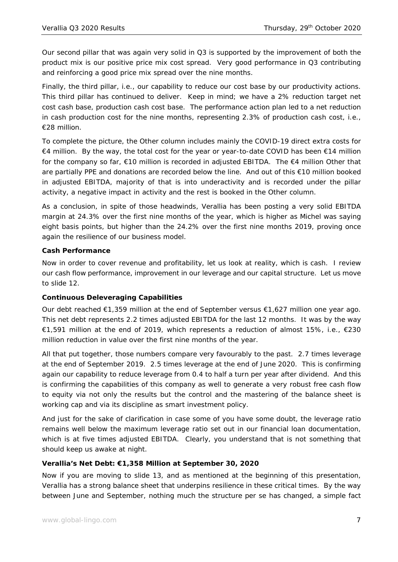Our second pillar that was again very solid in Q3 is supported by the improvement of both the product mix is our positive price mix cost spread. Very good performance in Q3 contributing and reinforcing a good price mix spread over the nine months.

Finally, the third pillar, i.e., our capability to reduce our cost base by our productivity actions. This third pillar has continued to deliver. Keep in mind; we have a 2% reduction target net cost cash base, production cash cost base. The performance action plan led to a net reduction in cash production cost for the nine months, representing 2.3% of production cash cost, i.e., €28 million.

To complete the picture, the Other column includes mainly the COVID-19 direct extra costs for €4 million. By the way, the total cost for the year or year-to-date COVID has been €14 million for the company so far, €10 million is recorded in adjusted EBITDA. The €4 million Other that are partially PPE and donations are recorded below the line. And out of this €10 million booked in adjusted EBITDA, majority of that is into underactivity and is recorded under the pillar activity, a negative impact in activity and the rest is booked in the Other column.

As a conclusion, in spite of those headwinds, Verallia has been posting a very solid EBITDA margin at 24.3% over the first nine months of the year, which is higher as Michel was saying eight basis points, but higher than the 24.2% over the first nine months 2019, proving once again the resilience of our business model.

## **Cash Performance**

Now in order to cover revenue and profitability, let us look at reality, which is cash. I review our cash flow performance, improvement in our leverage and our capital structure. Let us move to slide 12.

## **Continuous Deleveraging Capabilities**

Our debt reached €1,359 million at the end of September versus €1,627 million one year ago. This net debt represents 2.2 times adjusted EBITDA for the last 12 months. It was by the way €1,591 million at the end of 2019, which represents a reduction of almost 15%, i.e., €230 million reduction in value over the first nine months of the year.

All that put together, those numbers compare very favourably to the past. 2.7 times leverage at the end of September 2019. 2.5 times leverage at the end of June 2020. This is confirming again our capability to reduce leverage from 0.4 to half a turn per year after dividend. And this is confirming the capabilities of this company as well to generate a very robust free cash flow to equity via not only the results but the control and the mastering of the balance sheet is working cap and via its discipline as smart investment policy.

And just for the sake of clarification in case some of you have some doubt, the leverage ratio remains well below the maximum leverage ratio set out in our financial loan documentation, which is at five times adjusted EBITDA. Clearly, you understand that is not something that should keep us awake at night.

## **Verallia's Net Debt: €1,358 Million at September 30, 2020**

Now if you are moving to slide 13, and as mentioned at the beginning of this presentation, Verallia has a strong balance sheet that underpins resilience in these critical times. By the way between June and September, nothing much the structure per se has changed, a simple fact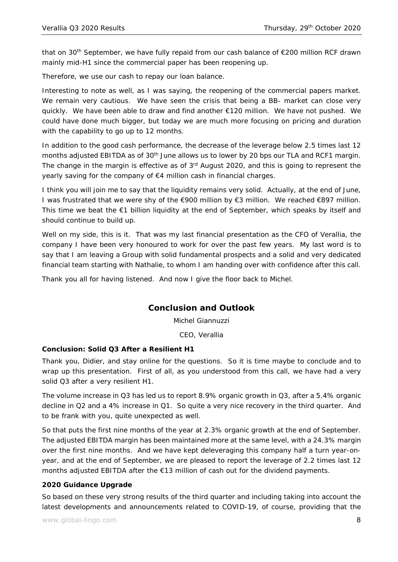that on 30<sup>th</sup> September, we have fully repaid from our cash balance of  $\epsilon$ 200 million RCF drawn mainly mid-H1 since the commercial paper has been reopening up.

Therefore, we use our cash to repay our loan balance.

Interesting to note as well, as I was saying, the reopening of the commercial papers market. We remain very cautious. We have seen the crisis that being a BB- market can close very quickly. We have been able to draw and find another €120 million. We have not pushed. We could have done much bigger, but today we are much more focusing on pricing and duration with the capability to go up to 12 months.

In addition to the good cash performance, the decrease of the leverage below 2.5 times last 12 months adjusted EBITDA as of 30<sup>th</sup> June allows us to lower by 20 bps our TLA and RCF1 margin. The change in the margin is effective as of  $3<sup>rd</sup>$  August 2020, and this is going to represent the yearly saving for the company of €4 million cash in financial charges.

I think you will join me to say that the liquidity remains very solid. Actually, at the end of June, I was frustrated that we were shy of the €900 million by €3 million. We reached €897 million. This time we beat the €1 billion liquidity at the end of September, which speaks by itself and should continue to build up.

Well on my side, this is it. That was my last financial presentation as the CFO of Verallia, the company I have been very honoured to work for over the past few years. My last word is to say that I am leaving a Group with solid fundamental prospects and a solid and very dedicated financial team starting with Nathalie, to whom I am handing over with confidence after this call.

Thank you all for having listened. And now I give the floor back to Michel.

## **Conclusion and Outlook**

Michel Giannuzzi

CEO, Verallia

#### **Conclusion: Solid Q3 After a Resilient H1**

Thank you, Didier, and stay online for the questions. So it is time maybe to conclude and to wrap up this presentation. First of all, as you understood from this call, we have had a very solid Q3 after a very resilient H1.

The volume increase in Q3 has led us to report 8.9% organic growth in Q3, after a 5.4% organic decline in Q2 and a 4% increase in Q1. So quite a very nice recovery in the third quarter. And to be frank with you, quite unexpected as well.

So that puts the first nine months of the year at 2.3% organic growth at the end of September. The adjusted EBITDA margin has been maintained more at the same level, with a 24.3% margin over the first nine months. And we have kept deleveraging this company half a turn year-onyear, and at the end of September, we are pleased to report the leverage of 2.2 times last 12 months adjusted EBITDA after the €13 million of cash out for the dividend payments.

#### **2020 Guidance Upgrade**

So based on these very strong results of the third quarter and including taking into account the latest developments and announcements related to COVID-19, of course, providing that the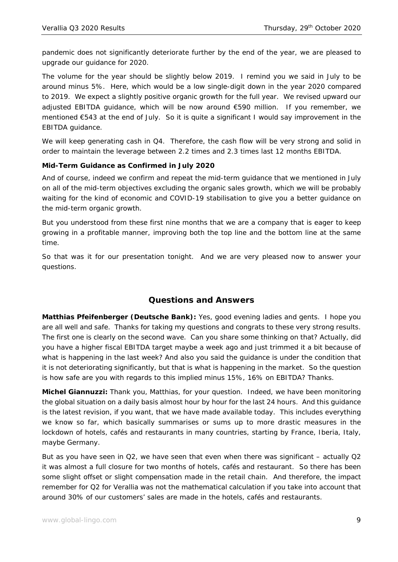pandemic does not significantly deteriorate further by the end of the year, we are pleased to upgrade our guidance for 2020.

The volume for the year should be slightly below 2019. I remind you we said in July to be around minus 5%. Here, which would be a low single-digit down in the year 2020 compared to 2019. We expect a slightly positive organic growth for the full year. We revised upward our adjusted EBITDA guidance, which will be now around €590 million. If you remember, we mentioned €543 at the end of July. So it is quite a significant I would say improvement in the EBITDA guidance.

We will keep generating cash in Q4. Therefore, the cash flow will be very strong and solid in order to maintain the leverage between 2.2 times and 2.3 times last 12 months EBITDA.

## **Mid-Term Guidance as Confirmed in July 2020**

And of course, indeed we confirm and repeat the mid-term guidance that we mentioned in July on all of the mid-term objectives excluding the organic sales growth, which we will be probably waiting for the kind of economic and COVID-19 stabilisation to give you a better guidance on the mid-term organic growth.

But you understood from these first nine months that we are a company that is eager to keep growing in a profitable manner, improving both the top line and the bottom line at the same time.

So that was it for our presentation tonight. And we are very pleased now to answer your questions.

# **Questions and Answers**

**Matthias Pfeifenberger (Deutsche Bank):** Yes, good evening ladies and gents. I hope you are all well and safe. Thanks for taking my questions and congrats to these very strong results. The first one is clearly on the second wave. Can you share some thinking on that? Actually, did you have a higher fiscal EBITDA target maybe a week ago and just trimmed it a bit because of what is happening in the last week? And also you said the guidance is under the condition that it is not deteriorating significantly, but that is what is happening in the market. So the question is how safe are you with regards to this implied minus 15%, 16% on EBITDA? Thanks.

**Michel Giannuzzi:** Thank you, Matthias, for your question. Indeed, we have been monitoring the global situation on a daily basis almost hour by hour for the last 24 hours. And this guidance is the latest revision, if you want, that we have made available today. This includes everything we know so far, which basically summarises or sums up to more drastic measures in the lockdown of hotels, cafés and restaurants in many countries, starting by France, Iberia, Italy, maybe Germany.

But as you have seen in Q2, we have seen that even when there was significant – actually Q2 it was almost a full closure for two months of hotels, cafés and restaurant. So there has been some slight offset or slight compensation made in the retail chain. And therefore, the impact remember for Q2 for Verallia was not the mathematical calculation if you take into account that around 30% of our customers' sales are made in the hotels, cafés and restaurants.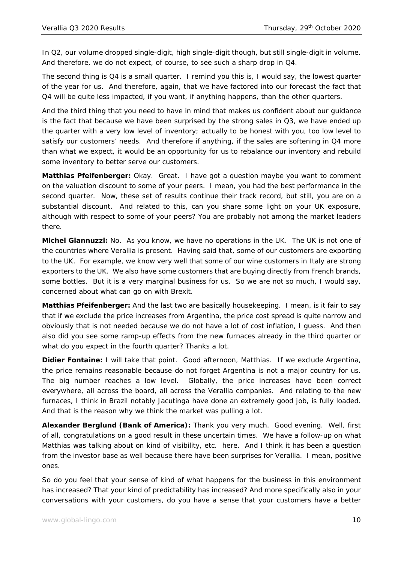In Q2, our volume dropped single-digit, high single-digit though, but still single-digit in volume. And therefore, we do not expect, of course, to see such a sharp drop in Q4.

The second thing is Q4 is a small quarter. I remind you this is, I would say, the lowest quarter of the year for us. And therefore, again, that we have factored into our forecast the fact that Q4 will be quite less impacted, if you want, if anything happens, than the other quarters.

And the third thing that you need to have in mind that makes us confident about our guidance is the fact that because we have been surprised by the strong sales in  $Q3$ , we have ended up the quarter with a very low level of inventory; actually to be honest with you, too low level to satisfy our customers' needs. And therefore if anything, if the sales are softening in Q4 more than what we expect, it would be an opportunity for us to rebalance our inventory and rebuild some inventory to better serve our customers.

**Matthias Pfeifenberger:** Okay. Great. I have got a question maybe you want to comment on the valuation discount to some of your peers. I mean, you had the best performance in the second quarter. Now, these set of results continue their track record, but still, you are on a substantial discount. And related to this, can you share some light on your UK exposure, although with respect to some of your peers? You are probably not among the market leaders there.

**Michel Giannuzzi:** No. As you know, we have no operations in the UK. The UK is not one of the countries where Verallia is present. Having said that, some of our customers are exporting to the UK. For example, we know very well that some of our wine customers in Italy are strong exporters to the UK. We also have some customers that are buying directly from French brands, some bottles. But it is a very marginal business for us. So we are not so much, I would say, concerned about what can go on with Brexit.

**Matthias Pfeifenberger:** And the last two are basically housekeeping. I mean, is it fair to say that if we exclude the price increases from Argentina, the price cost spread is quite narrow and obviously that is not needed because we do not have a lot of cost inflation, I guess. And then also did you see some ramp-up effects from the new furnaces already in the third quarter or what do you expect in the fourth quarter? Thanks a lot.

**Didier Fontaine:** I will take that point. Good afternoon, Matthias. If we exclude Argentina, the price remains reasonable because do not forget Argentina is not a major country for us. The big number reaches a low level. Globally, the price increases have been correct everywhere, all across the board, all across the Verallia companies. And relating to the new furnaces, I think in Brazil notably Jacutinga have done an extremely good job, is fully loaded. And that is the reason why we think the market was pulling a lot.

**Alexander Berglund (Bank of America):** Thank you very much. Good evening. Well, first of all, congratulations on a good result in these uncertain times. We have a follow-up on what Matthias was talking about on kind of visibility, etc. here. And I think it has been a question from the investor base as well because there have been surprises for Verallia. I mean, positive ones.

So do you feel that your sense of kind of what happens for the business in this environment has increased? That your kind of predictability has increased? And more specifically also in your conversations with your customers, do you have a sense that your customers have a better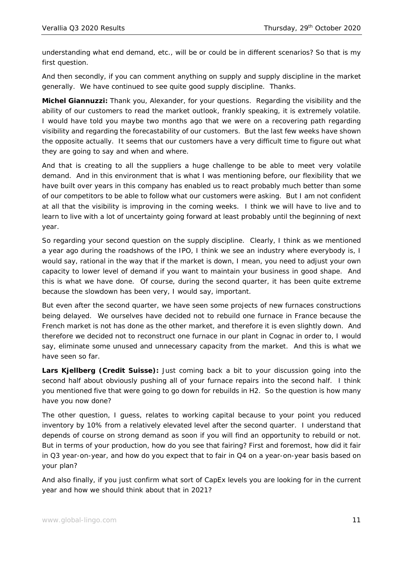understanding what end demand, etc., will be or could be in different scenarios? So that is my first question.

And then secondly, if you can comment anything on supply and supply discipline in the market generally. We have continued to see quite good supply discipline. Thanks.

**Michel Giannuzzi:** Thank you, Alexander, for your questions. Regarding the visibility and the ability of our customers to read the market outlook, frankly speaking, it is extremely volatile. I would have told you maybe two months ago that we were on a recovering path regarding visibility and regarding the forecastability of our customers. But the last few weeks have shown the opposite actually. It seems that our customers have a very difficult time to figure out what they are going to say and when and where.

And that is creating to all the suppliers a huge challenge to be able to meet very volatile demand. And in this environment that is what I was mentioning before, our flexibility that we have built over years in this company has enabled us to react probably much better than some of our competitors to be able to follow what our customers were asking. But I am not confident at all that the visibility is improving in the coming weeks. I think we will have to live and to learn to live with a lot of uncertainty going forward at least probably until the beginning of next year.

So regarding your second question on the supply discipline. Clearly, I think as we mentioned a year ago during the roadshows of the IPO, I think we see an industry where everybody is, I would say, rational in the way that if the market is down, I mean, you need to adjust your own capacity to lower level of demand if you want to maintain your business in good shape. And this is what we have done. Of course, during the second quarter, it has been quite extreme because the slowdown has been very, I would say, important.

But even after the second quarter, we have seen some projects of new furnaces constructions being delayed. We ourselves have decided not to rebuild one furnace in France because the French market is not has done as the other market, and therefore it is even slightly down. And therefore we decided not to reconstruct one furnace in our plant in Cognac in order to, I would say, eliminate some unused and unnecessary capacity from the market. And this is what we have seen so far.

**Lars Kjellberg (Credit Suisse):** Just coming back a bit to your discussion going into the second half about obviously pushing all of your furnace repairs into the second half. I think you mentioned five that were going to go down for rebuilds in H2. So the question is how many have you now done?

The other question, I guess, relates to working capital because to your point you reduced inventory by 10% from a relatively elevated level after the second quarter. I understand that depends of course on strong demand as soon if you will find an opportunity to rebuild or not. But in terms of your production, how do you see that fairing? First and foremost, how did it fair in Q3 year-on-year, and how do you expect that to fair in Q4 on a year-on-year basis based on your plan?

And also finally, if you just confirm what sort of CapEx levels you are looking for in the current year and how we should think about that in 2021?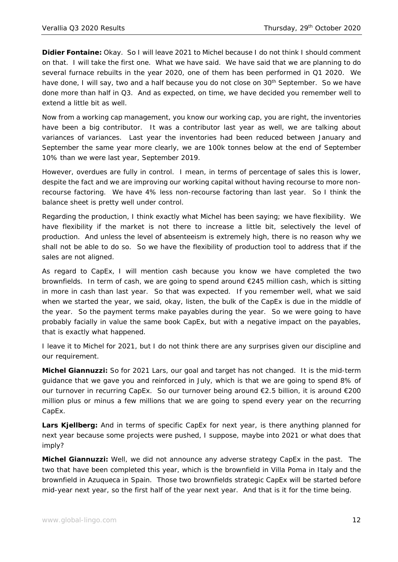**Didier Fontaine:** Okay. So I will leave 2021 to Michel because I do not think I should comment on that. I will take the first one. What we have said. We have said that we are planning to do several furnace rebuilts in the year 2020, one of them has been performed in Q1 2020. We have done, I will say, two and a half because you do not close on 30<sup>th</sup> September. So we have done more than half in Q3. And as expected, on time, we have decided you remember well to extend a little bit as well.

Now from a working cap management, you know our working cap, you are right, the inventories have been a big contributor. It was a contributor last year as well, we are talking about variances of variances. Last year the inventories had been reduced between January and September the same year more clearly, we are 100k tonnes below at the end of September 10% than we were last year, September 2019.

However, overdues are fully in control. I mean, in terms of percentage of sales this is lower, despite the fact and we are improving our working capital without having recourse to more nonrecourse factoring. We have 4% less non-recourse factoring than last year. So I think the balance sheet is pretty well under control.

Regarding the production, I think exactly what Michel has been saying; we have flexibility. We have flexibility if the market is not there to increase a little bit, selectively the level of production. And unless the level of absenteeism is extremely high, there is no reason why we shall not be able to do so. So we have the flexibility of production tool to address that if the sales are not aligned.

As regard to CapEx, I will mention cash because you know we have completed the two brownfields. In term of cash, we are going to spend around  $\epsilon$ 245 million cash, which is sitting in more in cash than last year. So that was expected. If you remember well, what we said when we started the year, we said, okay, listen, the bulk of the CapEx is due in the middle of the year. So the payment terms make payables during the year. So we were going to have probably facially in value the same book CapEx, but with a negative impact on the payables, that is exactly what happened.

I leave it to Michel for 2021, but I do not think there are any surprises given our discipline and our requirement.

**Michel Giannuzzi:** So for 2021 Lars, our goal and target has not changed. It is the mid-term guidance that we gave you and reinforced in July, which is that we are going to spend 8% of our turnover in recurring CapEx. So our turnover being around €2.5 billion, it is around €200 million plus or minus a few millions that we are going to spend every year on the recurring CapEx.

**Lars Kjellberg:** And in terms of specific CapEx for next year, is there anything planned for next year because some projects were pushed, I suppose, maybe into 2021 or what does that imply?

**Michel Giannuzzi:** Well, we did not announce any adverse strategy CapEx in the past. The two that have been completed this year, which is the brownfield in Villa Poma in Italy and the brownfield in Azuqueca in Spain. Those two brownfields strategic CapEx will be started before mid-year next year, so the first half of the year next year. And that is it for the time being.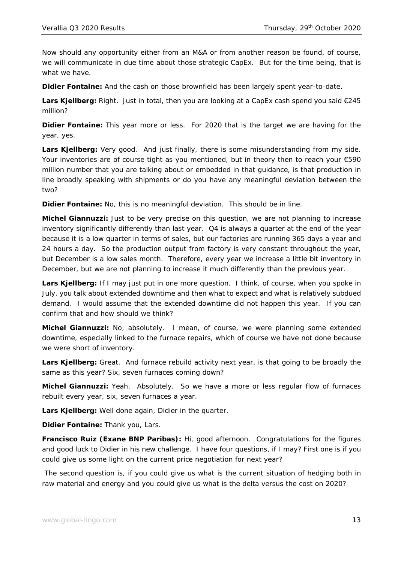Now should any opportunity either from an M&A or from another reason be found, of course, we will communicate in due time about those strategic CapEx. But for the time being, that is what we have.

**Didier Fontaine:** And the cash on those brownfield has been largely spent year-to-date.

**Lars Kjellberg:** Right. Just in total, then you are looking at a CapEx cash spend you said €245 million?

**Didier Fontaine:** This year more or less. For 2020 that is the target we are having for the year, yes.

**Lars Kjellberg:** Very good. And just finally, there is some misunderstanding from my side. Your inventories are of course tight as you mentioned, but in theory then to reach your €590 million number that you are talking about or embedded in that guidance, is that production in line broadly speaking with shipments or do you have any meaningful deviation between the two?

**Didier Fontaine:** No, this is no meaningful deviation. This should be in line.

**Michel Giannuzzi:** Just to be very precise on this question, we are not planning to increase inventory significantly differently than last year. Q4 is always a quarter at the end of the year because it is a low quarter in terms of sales, but our factories are running 365 days a year and 24 hours a day. So the production output from factory is very constant throughout the year, but December is a low sales month. Therefore, every year we increase a little bit inventory in December, but we are not planning to increase it much differently than the previous year.

**Lars Kjellberg:** If I may just put in one more question. I think, of course, when you spoke in July, you talk about extended downtime and then what to expect and what is relatively subdued demand. I would assume that the extended downtime did not happen this year. If you can confirm that and how should we think?

**Michel Giannuzzi:** No, absolutely. I mean, of course, we were planning some extended downtime, especially linked to the furnace repairs, which of course we have not done because we were short of inventory.

Lars Kjellberg: Great. And furnace rebuild activity next year, is that going to be broadly the same as this year? Six, seven furnaces coming down?

**Michel Giannuzzi:** Yeah. Absolutely. So we have a more or less regular flow of furnaces rebuilt every year, six, seven furnaces a year.

**Lars Kjellberg:** Well done again, Didier in the quarter.

**Didier Fontaine:** Thank you, Lars.

**Francisco Ruiz (Exane BNP Paribas):** Hi, good afternoon. Congratulations for the figures and good luck to Didier in his new challenge. I have four questions, if I may? First one is if you could give us some light on the current price negotiation for next year?

 The second question is, if you could give us what is the current situation of hedging both in raw material and energy and you could give us what is the delta versus the cost on 2020?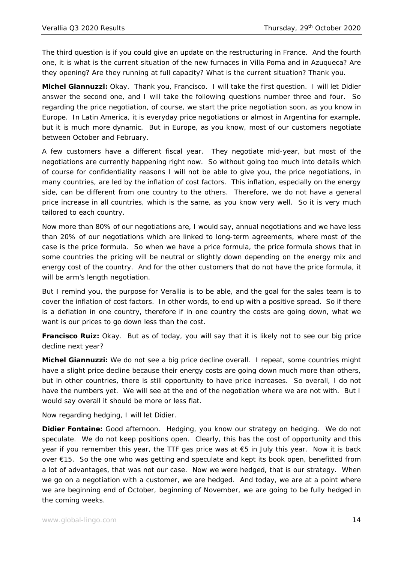The third question is if you could give an update on the restructuring in France. And the fourth one, it is what is the current situation of the new furnaces in Villa Poma and in Azuqueca? Are they opening? Are they running at full capacity? What is the current situation? Thank you.

**Michel Giannuzzi:** Okay. Thank you, Francisco. I will take the first question. I will let Didier answer the second one, and I will take the following questions number three and four. So regarding the price negotiation, of course, we start the price negotiation soon, as you know in Europe. In Latin America, it is everyday price negotiations or almost in Argentina for example, but it is much more dynamic. But in Europe, as you know, most of our customers negotiate between October and February.

A few customers have a different fiscal year. They negotiate mid-year, but most of the negotiations are currently happening right now. So without going too much into details which of course for confidentiality reasons I will not be able to give you, the price negotiations, in many countries, are led by the inflation of cost factors. This inflation, especially on the energy side, can be different from one country to the others. Therefore, we do not have a general price increase in all countries, which is the same, as you know very well. So it is very much tailored to each country.

Now more than 80% of our negotiations are, I would say, annual negotiations and we have less than 20% of our negotiations which are linked to long-term agreements, where most of the case is the price formula. So when we have a price formula, the price formula shows that in some countries the pricing will be neutral or slightly down depending on the energy mix and energy cost of the country. And for the other customers that do not have the price formula, it will be arm's length negotiation.

But I remind you, the purpose for Verallia is to be able, and the goal for the sales team is to cover the inflation of cost factors. In other words, to end up with a positive spread. So if there is a deflation in one country, therefore if in one country the costs are going down, what we want is our prices to go down less than the cost.

**Francisco Ruiz:** Okay. But as of today, you will say that it is likely not to see our big price decline next year?

**Michel Giannuzzi:** We do not see a big price decline overall. I repeat, some countries might have a slight price decline because their energy costs are going down much more than others, but in other countries, there is still opportunity to have price increases. So overall, I do not have the numbers yet. We will see at the end of the negotiation where we are not with. But I would say overall it should be more or less flat.

Now regarding hedging, I will let Didier.

**Didier Fontaine:** Good afternoon. Hedging, you know our strategy on hedging. We do not speculate. We do not keep positions open. Clearly, this has the cost of opportunity and this year if you remember this year, the TTF gas price was at €5 in July this year. Now it is back over €15. So the one who was getting and speculate and kept its book open, benefitted from a lot of advantages, that was not our case. Now we were hedged, that is our strategy. When we go on a negotiation with a customer, we are hedged. And today, we are at a point where we are beginning end of October, beginning of November, we are going to be fully hedged in the coming weeks.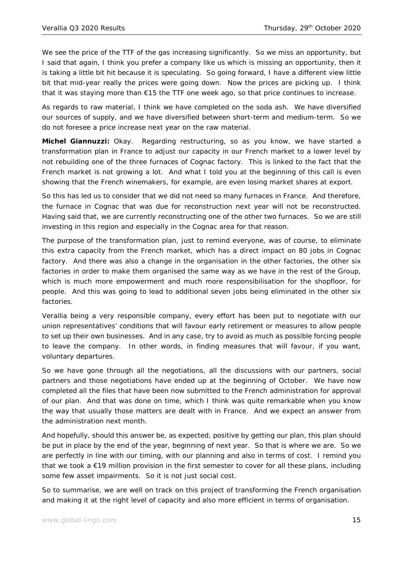We see the price of the TTF of the gas increasing significantly. So we miss an opportunity, but I said that again, I think you prefer a company like us which is missing an opportunity, then it is taking a little bit hit because it is speculating. So going forward, I have a different view little bit that mid-year really the prices were going down. Now the prices are picking up. I think that it was staying more than €15 the TTF one week ago, so that price continues to increase.

As regards to raw material, I think we have completed on the soda ash. We have diversified our sources of supply, and we have diversified between short-term and medium-term. So we do not foresee a price increase next year on the raw material.

**Michel Giannuzzi:** Okay. Regarding restructuring, so as you know, we have started a transformation plan in France to adjust our capacity in our French market to a lower level by not rebuilding one of the three furnaces of Cognac factory. This is linked to the fact that the French market is not growing a lot. And what I told you at the beginning of this call is even showing that the French winemakers, for example, are even losing market shares at export.

So this has led us to consider that we did not need so many furnaces in France. And therefore, the furnace in Cognac that was due for reconstruction next year will not be reconstructed. Having said that, we are currently reconstructing one of the other two furnaces. So we are still investing in this region and especially in the Cognac area for that reason.

The purpose of the transformation plan, just to remind everyone, was of course, to eliminate this extra capacity from the French market, which has a direct impact on 80 jobs in Cognac factory. And there was also a change in the organisation in the other factories, the other six factories in order to make them organised the same way as we have in the rest of the Group, which is much more empowerment and much more responsibilisation for the shopfloor, for people. And this was going to lead to additional seven jobs being eliminated in the other six factories.

Verallia being a very responsible company, every effort has been put to negotiate with our union representatives' conditions that will favour early retirement or measures to allow people to set up their own businesses. And in any case, try to avoid as much as possible forcing people to leave the company. In other words, in finding measures that will favour, if you want, voluntary departures.

So we have gone through all the negotiations, all the discussions with our partners, social partners and those negotiations have ended up at the beginning of October. We have now completed all the files that have been now submitted to the French administration for approval of our plan. And that was done on time, which I think was quite remarkable when you know the way that usually those matters are dealt with in France. And we expect an answer from the administration next month.

And hopefully, should this answer be, as expected, positive by getting our plan, this plan should be put in place by the end of the year, beginning of next year. So that is where we are. So we are perfectly in line with our timing, with our planning and also in terms of cost. I remind you that we took a €19 million provision in the first semester to cover for all these plans, including some few asset impairments. So it is not just social cost.

So to summarise, we are well on track on this project of transforming the French organisation and making it at the right level of capacity and also more efficient in terms of organisation.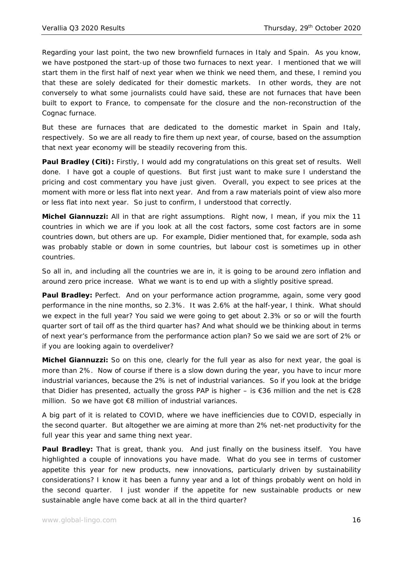Regarding your last point, the two new brownfield furnaces in Italy and Spain. As you know, we have postponed the start-up of those two furnaces to next year. I mentioned that we will start them in the first half of next year when we think we need them, and these, I remind you that these are solely dedicated for their domestic markets. In other words, they are not conversely to what some journalists could have said, these are not furnaces that have been built to export to France, to compensate for the closure and the non-reconstruction of the Cognac furnace.

But these are furnaces that are dedicated to the domestic market in Spain and Italy, respectively. So we are all ready to fire them up next year, of course, based on the assumption that next year economy will be steadily recovering from this.

**Paul Bradley (Citi):** Firstly, I would add my congratulations on this great set of results. Well done. I have got a couple of questions. But first just want to make sure I understand the pricing and cost commentary you have just given. Overall, you expect to see prices at the moment with more or less flat into next year. And from a raw materials point of view also more or less flat into next year. So just to confirm, I understood that correctly.

**Michel Giannuzzi:** All in that are right assumptions. Right now, I mean, if you mix the 11 countries in which we are if you look at all the cost factors, some cost factors are in some countries down, but others are up. For example, Didier mentioned that, for example, soda ash was probably stable or down in some countries, but labour cost is sometimes up in other countries.

So all in, and including all the countries we are in, it is going to be around zero inflation and around zero price increase. What we want is to end up with a slightly positive spread.

Paul Bradley: Perfect. And on your performance action programme, again, some very good performance in the nine months, so 2.3%. It was 2.6% at the half-year, I think. What should we expect in the full year? You said we were going to get about 2.3% or so or will the fourth quarter sort of tail off as the third quarter has? And what should we be thinking about in terms of next year's performance from the performance action plan? So we said we are sort of 2% or if you are looking again to overdeliver?

**Michel Giannuzzi:** So on this one, clearly for the full year as also for next year, the goal is more than 2%. Now of course if there is a slow down during the year, you have to incur more industrial variances, because the 2% is net of industrial variances. So if you look at the bridge that Didier has presented, actually the gross PAP is higher – is  $€36$  million and the net is  $€28$ million. So we have got €8 million of industrial variances.

A big part of it is related to COVID, where we have inefficiencies due to COVID, especially in the second quarter. But altogether we are aiming at more than 2% net-net productivity for the full year this year and same thing next year.

**Paul Bradley:** That is great, thank you. And just finally on the business itself. You have highlighted a couple of innovations you have made. What do you see in terms of customer appetite this year for new products, new innovations, particularly driven by sustainability considerations? I know it has been a funny year and a lot of things probably went on hold in the second quarter. I just wonder if the appetite for new sustainable products or new sustainable angle have come back at all in the third quarter?